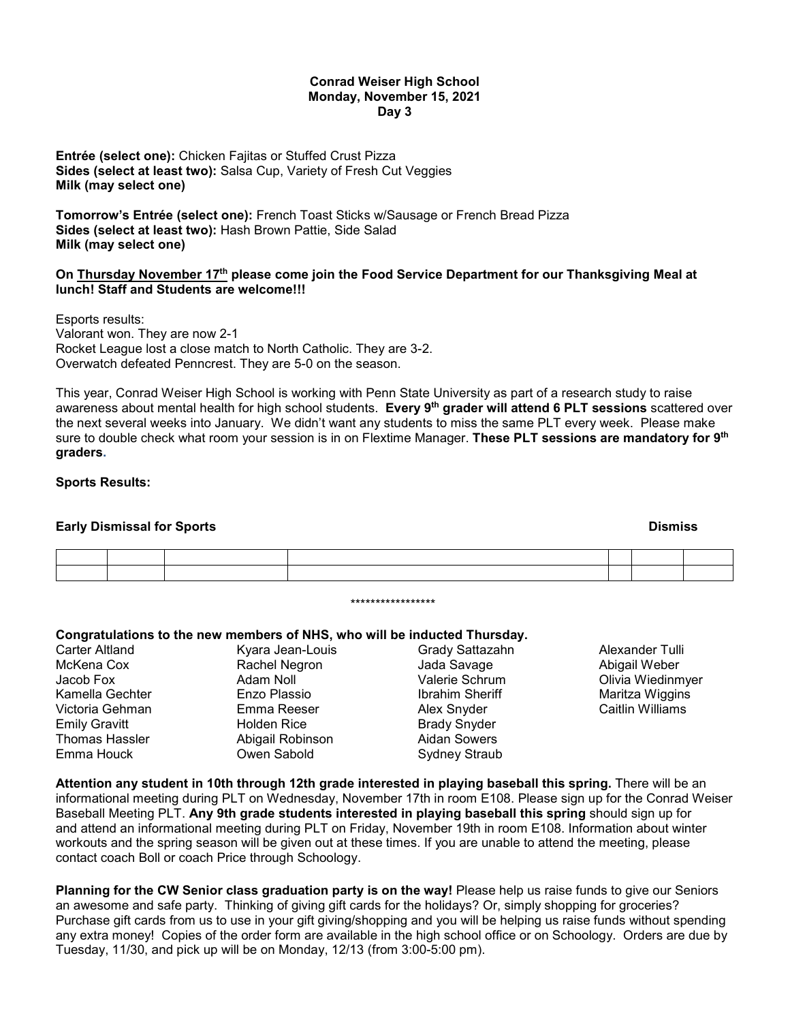#### **Conrad Weiser High School Monday, November 15, 2021 Day 3**

**Entrée (select one):** Chicken Fajitas or Stuffed Crust Pizza **Sides (select at least two):** Salsa Cup, Variety of Fresh Cut Veggies **Milk (may select one)**

**Tomorrow's Entrée (select one):** French Toast Sticks w/Sausage or French Bread Pizza **Sides (select at least two):** Hash Brown Pattie, Side Salad **Milk (may select one)**

#### **On Thursday November 17th please come join the Food Service Department for our Thanksgiving Meal at lunch! Staff and Students are welcome!!!**

Esports results: Valorant won. They are now 2-1 Rocket League lost a close match to North Catholic. They are 3-2. Overwatch defeated Penncrest. They are 5-0 on the season.

This year, Conrad Weiser High School is working with Penn State University as part of a research study to raise awareness about mental health for high school students. **Every 9th grader will attend 6 PLT sessions** scattered over the next several weeks into January. We didn't want any students to miss the same PLT every week. Please make sure to double check what room your session is in on Flextime Manager. **These PLT sessions are mandatory for 9th graders.**

#### **Sports Results:**

### **Early Dismissal for Sports And American Security Construction Construction Construction Construction Construction Construction Construction Construction Construction Construction Construction Construction Construction Con**

\*\*\*\*\*\*\*\*\*\*\*\*\*\*\*\*\*

# **Congratulations to the new members of NHS, who will be inducted Thursday.**

|                 | Congratulations to the new members of NHS, who will be inducted Thursday. |                        |                   |
|-----------------|---------------------------------------------------------------------------|------------------------|-------------------|
| Carter Altland  | Kyara Jean-Louis                                                          | Grady Sattazahn        | Alexander Tulli   |
| McKena Cox      | Rachel Negron                                                             | Jada Savage            | Abigail Weber     |
| Jacob Fox       | Adam Noll                                                                 | Valerie Schrum         | Olivia Wiedinmyer |
| Kamella Gechter | Enzo Plassio                                                              | <b>Ibrahim Sheriff</b> | Maritza Wiggins   |
| Victoria Gehman | Emma Reeser                                                               | Alex Snyder            | Caitlin Williams  |
| Emily Gravitt   | <b>Holden Rice</b>                                                        | <b>Brady Snyder</b>    |                   |
| Thomas Hassler  | Abigail Robinson                                                          | Aidan Sowers           |                   |
| Emma Houck      | Owen Sabold                                                               | Sydney Straub          |                   |
|                 |                                                                           |                        |                   |

**Attention any student in 10th through 12th grade interested in playing baseball this spring.** There will be an informational meeting during PLT on Wednesday, November 17th in room E108. Please sign up for the Conrad Weiser Baseball Meeting PLT. **Any 9th grade students interested in playing baseball this spring** should sign up for and attend an informational meeting during PLT on Friday, November 19th in room E108. Information about winter workouts and the spring season will be given out at these times. If you are unable to attend the meeting, please contact coach Boll or coach Price through Schoology.

**Planning for the CW Senior class graduation party is on the way!** Please help us raise funds to give our Seniors an awesome and safe party. Thinking of giving gift cards for the holidays? Or, simply shopping for groceries? Purchase gift cards from us to use in your gift giving/shopping and you will be helping us raise funds without spending any extra money! Copies of the order form are available in the high school office or on Schoology. Orders are due by Tuesday, 11/30, and pick up will be on Monday, 12/13 (from 3:00-5:00 pm).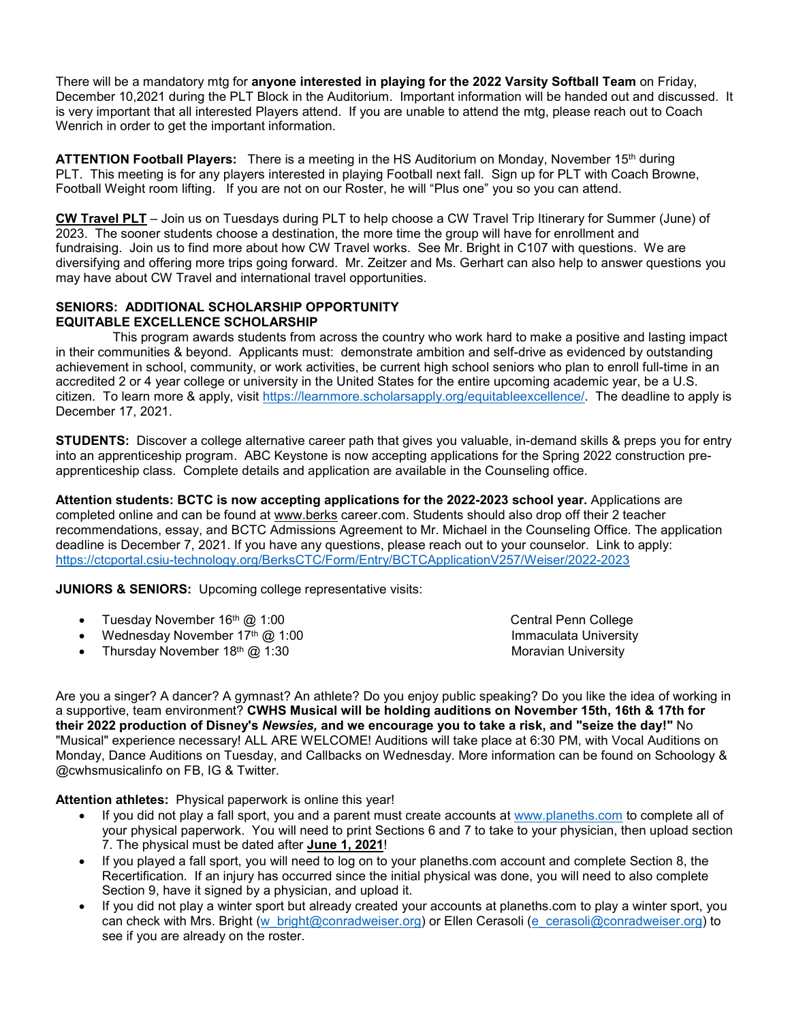There will be a mandatory mtg for **anyone interested in playing for the 2022 Varsity Softball Team** on Friday, December 10,2021 during the PLT Block in the Auditorium. Important information will be handed out and discussed. It is very important that all interested Players attend. If you are unable to attend the mtg, please reach out to Coach Wenrich in order to get the important information.

**ATTENTION Football Players:** There is a meeting in the HS Auditorium on Monday, November 15th during PLT. This meeting is for any players interested in playing Football next fall. Sign up for PLT with Coach Browne, Football Weight room lifting. If you are not on our Roster, he will "Plus one" you so you can attend.

**CW Travel PLT** – Join us on Tuesdays during PLT to help choose a CW Travel Trip Itinerary for Summer (June) of 2023. The sooner students choose a destination, the more time the group will have for enrollment and fundraising. Join us to find more about how CW Travel works. See Mr. Bright in C107 with questions. We are diversifying and offering more trips going forward. Mr. Zeitzer and Ms. Gerhart can also help to answer questions you may have about CW Travel and international travel opportunities.

## **SENIORS: ADDITIONAL SCHOLARSHIP OPPORTUNITY EQUITABLE EXCELLENCE SCHOLARSHIP**

 This program awards students from across the country who work hard to make a positive and lasting impact in their communities & beyond. Applicants must: demonstrate ambition and self-drive as evidenced by outstanding achievement in school, community, or work activities, be current high school seniors who plan to enroll full-time in an accredited 2 or 4 year college or university in the United States for the entire upcoming academic year, be a U.S. citizen. To learn more & apply, visit [https://learnmore.scholarsapply.org/equitableexcellence/.](https://learnmore.scholarsapply.org/equitableexcellence/) The deadline to apply is December 17, 2021.

**STUDENTS:** Discover a college alternative career path that gives you valuable, in-demand skills & preps you for entry into an apprenticeship program. ABC Keystone is now accepting applications for the Spring 2022 construction preapprenticeship class. Complete details and application are available in the Counseling office.

**Attention students: BCTC is now accepting applications for the 2022-2023 school year.** Applications are completed online and can be found at [www.berks](http://www.berks/) career.com. Students should also drop off their 2 teacher recommendations, essay, and BCTC Admissions Agreement to Mr. Michael in the Counseling Office. The application deadline is December 7, 2021. If you have any questions, please reach out to your counselor. Link to apply: <https://ctcportal.csiu-technology.org/BerksCTC/Form/Entry/BCTCApplicationV257/Weiser/2022-2023>

**JUNIORS & SENIORS:** Upcoming college representative visits:

- Tuesday November 16<sup>th</sup> @ 1:00 Central Penn College
- Wednesday November 17<sup>th</sup> @ 1:00 **Immaculata University Immaculata University**
- Thursday November 18<sup>th</sup> @ 1:30 Moravian University Moravian University

Are you a singer? A dancer? A gymnast? An athlete? Do you enjoy public speaking? Do you like the idea of working in a supportive, team environment? **CWHS Musical will be holding auditions on November 15th, 16th & 17th for their 2022 production of Disney's** *Newsies,* **and we encourage you to take a risk, and "seize the day!"** No "Musical" experience necessary! ALL ARE WELCOME! Auditions will take place at 6:30 PM, with Vocal Auditions on Monday, Dance Auditions on Tuesday, and Callbacks on Wednesday. More information can be found on Schoology & @cwhsmusicalinfo on FB, IG & Twitter.

**Attention athletes:** Physical paperwork is online this year!

- If you did not play a fall sport, you and a parent must create accounts at [www.planeths.com](http://www.planeths.com/) to complete all of your physical paperwork. You will need to print Sections 6 and 7 to take to your physician, then upload section 7. The physical must be dated after **June 1, 2021**!
- If you played a fall sport, you will need to log on to your planeths.com account and complete Section 8, the Recertification. If an injury has occurred since the initial physical was done, you will need to also complete Section 9, have it signed by a physician, and upload it.
- If you did not play a winter sport but already created your accounts at planeths.com to play a winter sport, you can check with Mrs. Bright [\(w\\_bright@conradweiser.org\)](mailto:w_bright@conradweiser.org) or Ellen Cerasoli [\(e\\_cerasoli@conradweiser.org\)](mailto:e_cerasoli@conradweiser.org) to see if you are already on the roster.